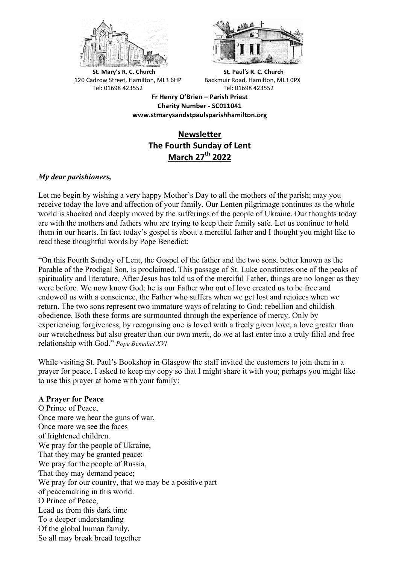



**St.** Mary's R. C. Church St. Paul's R. C. Church 120 Cadzow Street, Hamilton, ML3 6HP Backmuir Road, Hamilton, ML3 0PX Tel: 01698 423552 Tel: 01698 423552

**Fr Henry O'Brien – Parish Priest Charity Number - SC011041 www.stmarysandstpaulsparishhamilton.org**

# **Newsletter The Fourth Sunday of Lent March 27th 2022**

## *My dear parishioners,*

Let me begin by wishing a very happy Mother's Day to all the mothers of the parish; may you receive today the love and affection of your family. Our Lenten pilgrimage continues as the whole world is shocked and deeply moved by the sufferings of the people of Ukraine. Our thoughts today are with the mothers and fathers who are trying to keep their family safe. Let us continue to hold them in our hearts. In fact today's gospel is about a merciful father and I thought you might like to read these thoughtful words by Pope Benedict:

"On this Fourth Sunday of Lent, the Gospel of the father and the two sons, better known as the Parable of the Prodigal Son, is proclaimed. This passage of St. Luke constitutes one of the peaks of spirituality and literature. After Jesus has told us of the merciful Father, things are no longer as they were before. We now know God; he is our Father who out of love created us to be free and endowed us with a conscience, the Father who suffers when we get lost and rejoices when we return. The two sons represent two immature ways of relating to God: rebellion and childish obedience. Both these forms are surmounted through the experience of mercy. Only by experiencing forgiveness, by recognising one is loved with a freely given love, a love greater than our wretchedness but also greater than our own merit, do we at last enter into a truly filial and free relationship with God." *Pope Benedict XVI*

While visiting St. Paul's Bookshop in Glasgow the staff invited the customers to join them in a prayer for peace. I asked to keep my copy so that I might share it with you; perhaps you might like to use this prayer at home with your family:

### **A Prayer for Peace**

O Prince of Peace, Once more we hear the guns of war, Once more we see the faces of frightened children. We pray for the people of Ukraine. That they may be granted peace; We pray for the people of Russia, That they may demand peace; We pray for our country, that we may be a positive part of peacemaking in this world. O Prince of Peace, Lead us from this dark time To a deeper understanding Of the global human family, So all may break bread together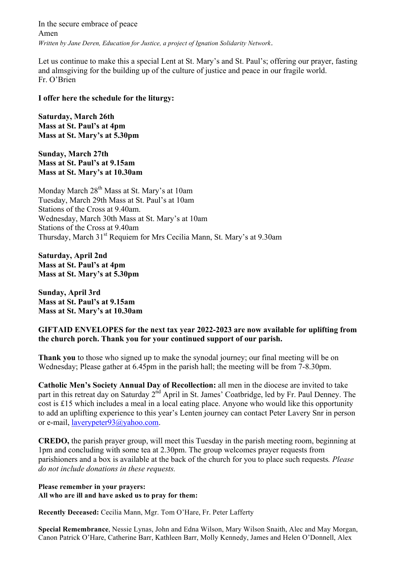In the secure embrace of peace Amen *Written by Jane Deren, Education for Justice, a project of Ignation Solidarity Network*.

Let us continue to make this a special Lent at St. Mary's and St. Paul's; offering our prayer, fasting and almsgiving for the building up of the culture of justice and peace in our fragile world. Fr. O'Brien

#### **I offer here the schedule for the liturgy:**

**Saturday, March 26th Mass at St. Paul's at 4pm Mass at St. Mary's at 5.30pm**

**Sunday, March 27th Mass at St. Paul's at 9.15am Mass at St. Mary's at 10.30am**

Monday March 28<sup>th</sup> Mass at St. Mary's at 10am Tuesday, March 29th Mass at St. Paul's at 10am Stations of the Cross at 9.40am. Wednesday, March 30th Mass at St. Mary's at 10am Stations of the Cross at 9.40am Thursday, March 31<sup>st</sup> Requiem for Mrs Cecilia Mann, St. Mary's at 9.30am

**Saturday, April 2nd Mass at St. Paul's at 4pm Mass at St. Mary's at 5.30pm**

**Sunday, April 3rd Mass at St. Paul's at 9.15am Mass at St. Mary's at 10.30am**

### **GIFTAID ENVELOPES for the next tax year 2022-2023 are now available for uplifting from the church porch. Thank you for your continued support of our parish.**

**Thank you** to those who signed up to make the synodal journey; our final meeting will be on Wednesday; Please gather at 6.45pm in the parish hall; the meeting will be from 7-8.30pm.

**Catholic Men's Society Annual Day of Recollection:** all men in the diocese are invited to take part in this retreat day on Saturday 2<sup>nd</sup> April in St. James' Coatbridge, led by Fr. Paul Denney. The cost is £15 which includes a meal in a local eating place. Anyone who would like this opportunity to add an uplifting experience to this year's Lenten journey can contact Peter Lavery Snr in person or e-mail, laverypeter93@yahoo.com.

**CREDO,** the parish prayer group, will meet this Tuesday in the parish meeting room, beginning at 1pm and concluding with some tea at 2.30pm. The group welcomes prayer requests from parishioners and a box is available at the back of the church for you to place such requests*. Please do not include donations in these requests.*

**Please remember in your prayers: All who are ill and have asked us to pray for them:** 

**Recently Deceased:** Cecilia Mann, Mgr. Tom O'Hare, Fr. Peter Lafferty

**Special Remembrance**, Nessie Lynas, John and Edna Wilson, Mary Wilson Snaith, Alec and May Morgan, Canon Patrick O'Hare, Catherine Barr, Kathleen Barr, Molly Kennedy, James and Helen O'Donnell, Alex